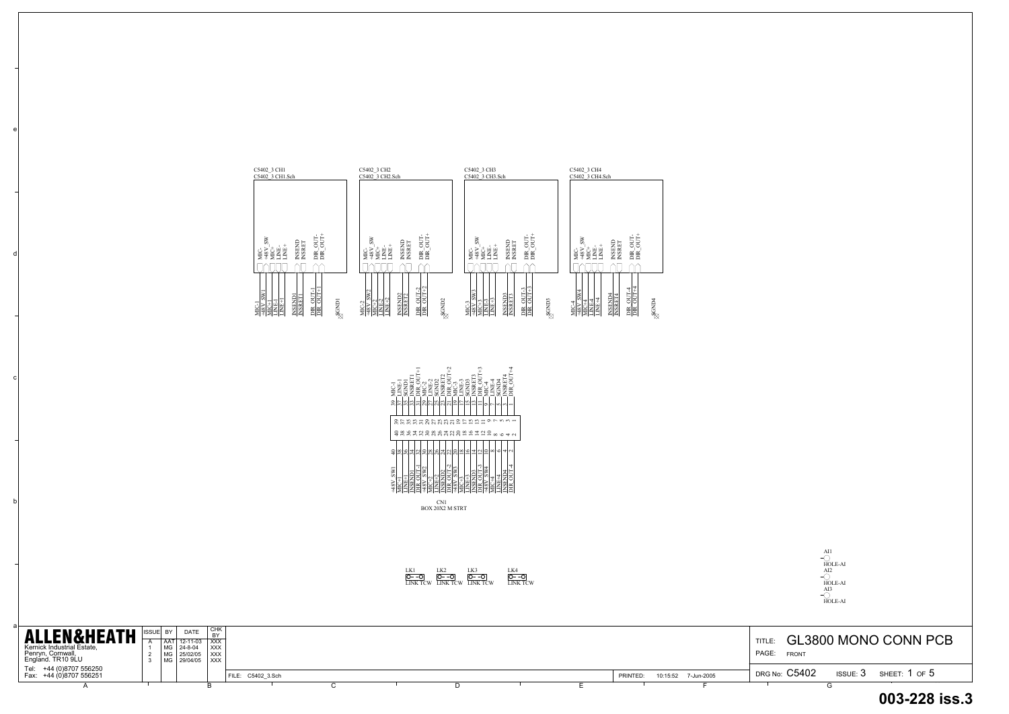

a

b

c

d

e

| <b>ALLEN&amp;HEATH</b><br>Kernick Industrial Estate,<br>Penryn, Cornwall,<br>England. TR10 9LU | 'BY I | <b>DATE</b><br>$12 - 11 - 03$<br>  MG   24-8-04<br>MG 25/02/05<br>  MG   29/04/05   XXX | I CHK.<br><b>DV</b><br>I xxx<br>I XXX I<br>$ $ XXX |  |  |  |          |                     | <b>TITLE</b><br>PAGE:<br><b>FRONT</b> |            | GL3800 MONO CONN PO |
|------------------------------------------------------------------------------------------------|-------|-----------------------------------------------------------------------------------------|----------------------------------------------------|--|--|--|----------|---------------------|---------------------------------------|------------|---------------------|
| Tel: +44 (0)8707 556250<br>  Fax: +44 (0)8707 556251                                           |       |                                                                                         | FILE: C5402 3.Sch                                  |  |  |  | PRINTED: | 10:15:52 7-Jun-2005 | DRG No: C5402                         | ISSUE: $3$ | sheet: 1 of $5$     |
|                                                                                                |       |                                                                                         |                                                    |  |  |  |          |                     |                                       |            |                     |

| C5402 3 CH1<br>C5402 3 CH1.Sch                                                                                          | C5402 3 CH2<br>C5402 3 CH2.Sch                                                           | C5402_3 CH3<br>C5402_3 CH3.Sch                                  | C5402 3 CH4<br>C5402 3 CH4.Sch                                                   |
|-------------------------------------------------------------------------------------------------------------------------|------------------------------------------------------------------------------------------|-----------------------------------------------------------------|----------------------------------------------------------------------------------|
|                                                                                                                         |                                                                                          |                                                                 |                                                                                  |
|                                                                                                                         |                                                                                          |                                                                 |                                                                                  |
| i<br>Polit<br>Polit<br>$S_{\rm W}$<br><b>INSENT</b><br><b>INSRET</b><br>皆<br>百日<br>H <sub>3</sub> N<br>H <sub>S</sub> H | -TUO<br>SW<br>5<br><b>INSEND</b><br>INSRET<br>EÈ<br>EE<br><b>NEVEL</b><br>NEVEL<br>NEVEL | $\frac{1}{2}$<br>šv<br><b>NSEND</b><br>NSRET<br>ËË<br>48V<br>ЯČ | ŠW<br>$rac{1}{2}$<br>5UD<br><b>INSEND</b><br>INSRET<br>È<br>E<br>48V<br>MC+<br>È |
| ЙC.<br>ĔĔ                                                                                                               | EÉ                                                                                       | ă<br>ÉĔ                                                         | ÉĔ                                                                               |
| $\frac{\text{DR} \ \text{OUT-1}}{\text{DR} \ \text{OUT+1}}$<br>SW1                                                      | $rac{OUT-2}{OUT+2}$<br><b>SW2</b>                                                        | $rac{OUT-3}{OUT+3}$<br>SW <sub>3</sub><br>$\sim$                | $\frac{1}{100}$<br>W <sub>4</sub><br>4                                           |
| <b>INSEND1</b><br>NSRETT<br><b>RONDI</b><br>48V<br>Ê<br>≣<br>ĕ                                                          | INSEND2<br>INSRET2<br><b>SGND2</b><br>$MC-2$<br>Ë<br>ᄫ<br>$\frac{8}{3}$<br>₹Ħ            | <b>INSEND3</b><br>INSRET3<br><b>SCIND3</b><br>调<br>ăк<br>ή£     | INSEND4<br>INSRET4<br><b>RONDA</b><br>嚣<br>ᇕ<br>ă<br>i≣.                         |



### **003-228 iss.3**

AI1 HOLE-AI AI2 HOLE-AI AI3 HOLE-AI

LK1 LINK TCW LK2 LINK TCW LK3 LINK TCW LK4 LINK TCW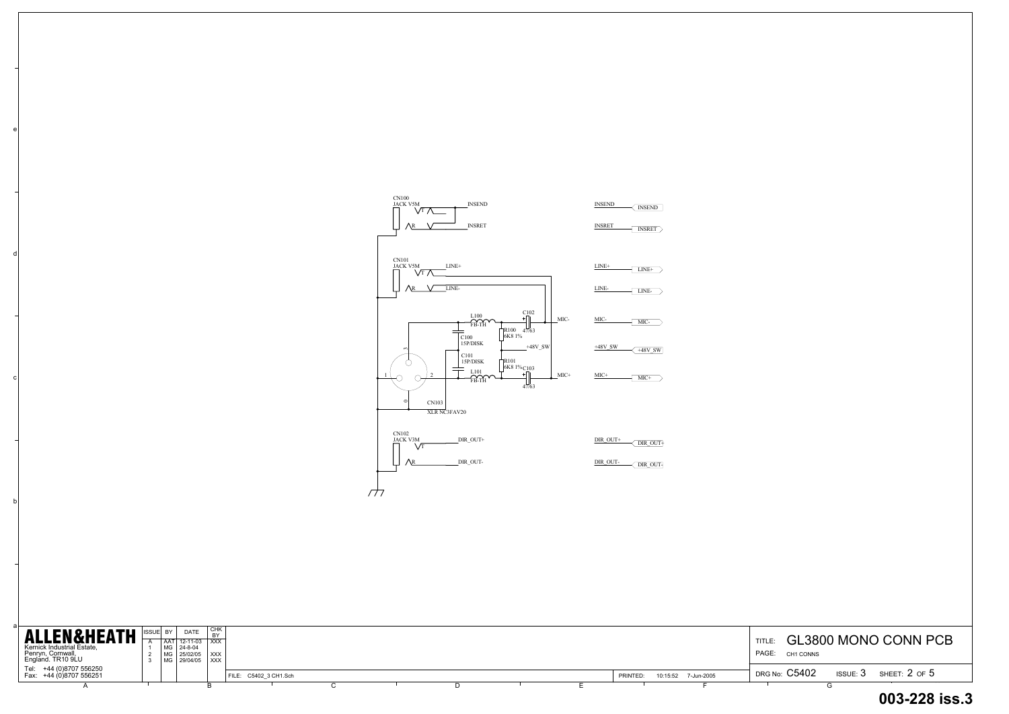b

c

d

e

| <b>ALLEN&amp;HEATH</b><br>Kernick Industrial Estate,<br>Penryn, Cornwall,<br>England. TR10 9LU | <b>DATE</b><br>ISSUE BY<br>  AAT   12-11-03   XXX<br>  MG   24-8-04<br>  MG   25/02/05   XXX<br>  MG   29/04/05   XXX | I снк<br><b>RY</b> |                       |  |  |          |                     | GL3800 MONO CONN PO<br>TITLE:<br>PAGE:<br>CH1 CONNS     |
|------------------------------------------------------------------------------------------------|-----------------------------------------------------------------------------------------------------------------------|--------------------|-----------------------|--|--|----------|---------------------|---------------------------------------------------------|
| Tel: +44 (0)8707 556250<br>Fax: +44 (0)8707 556251                                             |                                                                                                                       |                    | FILE: C5402 3 CH1.Sch |  |  | PRINTED: | 10:15:52 7-Jun-2005 | <b>DRG No: C5402</b><br>SHEET: $2$ of $5$<br>ISSUE: $3$ |
|                                                                                                |                                                                                                                       |                    |                       |  |  |          |                     |                                                         |

# TITLE:  $\,$  GL3800 MONO CONN PCB DRG No:  $\rm C5402$  issue:  $\rm 3$  sheet:  $\rm 2$  of  $\rm 5$ PAGE: CH1 CONNS **003-228 iss.3**

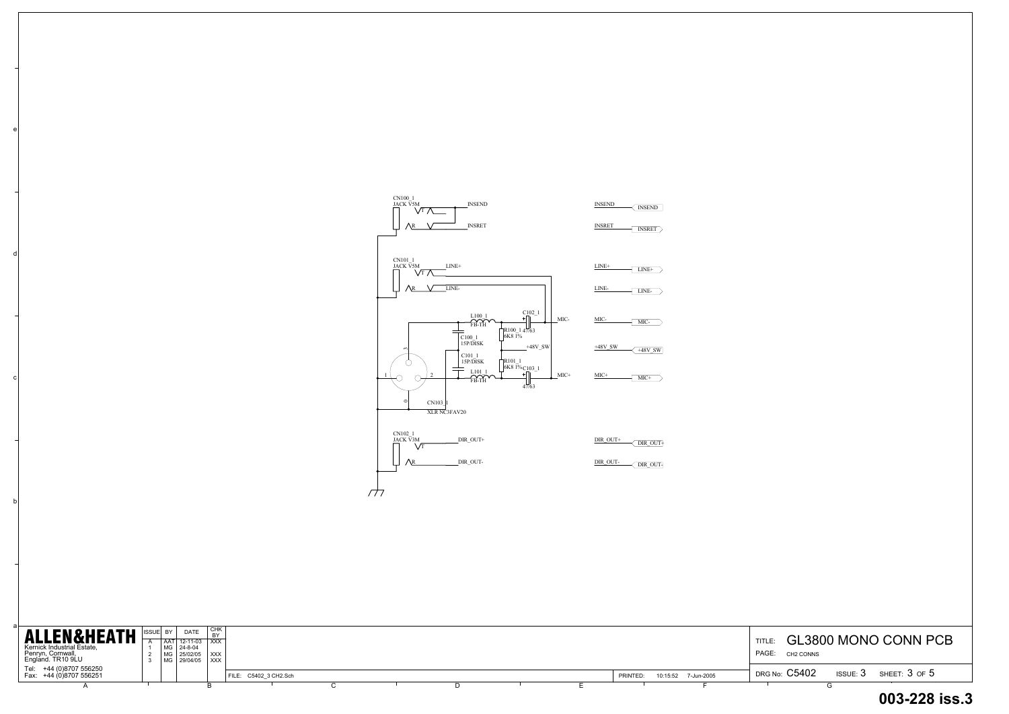b

c

d

e

#### TITLE:  $\,$  GL3800 MONO CONN PCB DRG No:  $\rm C5402$  issue:  $\rm 3$  sheet:  $\rm 3$  of  $\rm 5$ PAGE: **003-228 iss.3**CH2 CONNS

| <b>ALLEN&amp;HEATH</b><br>Kernick Industrial Estate,<br>Penryn, Cornwall,<br>England. TR10 9LU | <b>DATE</b><br>ISSUE BY<br>  AAT   12-11-03   XXX<br>MG 24-8-04<br>  MG   25/02/05   XXX<br>  MG   29/04/05   XXX | I снк<br><b>BY</b>    |  |  |          |                     | GL3800 MONO CONN PO<br>TITLE:<br>PAGE:<br>CH <sub>2</sub> CONNS |
|------------------------------------------------------------------------------------------------|-------------------------------------------------------------------------------------------------------------------|-----------------------|--|--|----------|---------------------|-----------------------------------------------------------------|
| Tel: +44 (0)8707 556250<br>Fax: +44 (0)8707 556251                                             |                                                                                                                   | FILE: C5402 3 CH2.Sch |  |  | PRINTED: | 10:15:52 7-Jun-2005 | <b>DRG No: C5402</b><br>SHEET: $3$ OF $5$<br>ISSUE: $3$         |
|                                                                                                |                                                                                                                   |                       |  |  |          |                     |                                                                 |

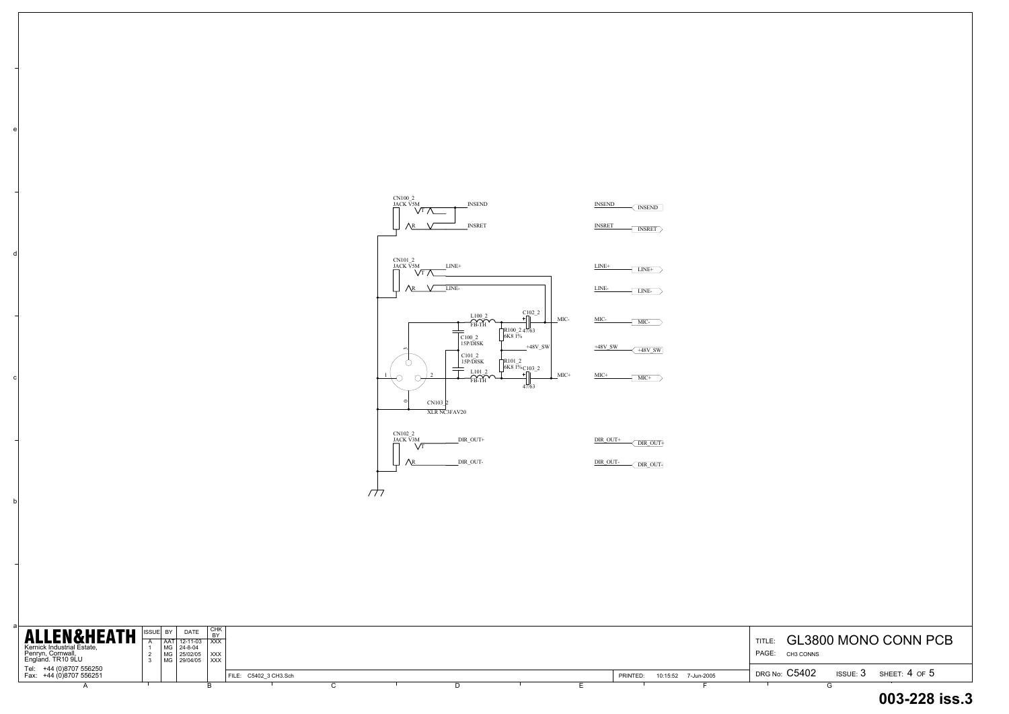b

c

d

e

| <b>ALLEN&amp;HEATH</b><br>Kernick Industrial Estate,<br>Penryn, Cornwall,<br>England. TR10 9LU | <b>DATE</b><br>ISSUE BY<br>  AAT   12-11-03   XXX<br>  MG   24-8-04<br>  MG   25/02/05   XXX<br>  MG 29/04/05   XXX | I снк<br><b>BY</b>    |  |                                 | <b>GL3800 MONO CONN PO</b><br>TITLE:<br>PAGE:<br>CH3 CONNS   |
|------------------------------------------------------------------------------------------------|---------------------------------------------------------------------------------------------------------------------|-----------------------|--|---------------------------------|--------------------------------------------------------------|
| Tel: +44 (0)8707 556250<br>Fax: +44 (0)8707 556251                                             |                                                                                                                     | FILE: C5402 3 CH3.Sch |  | 10:15:52 7-Jun-2005<br>PRINTED: | <b>DRG No: C5402</b><br>SHEET: $4$ OF $5$<br><b>ISSUE: 3</b> |
|                                                                                                |                                                                                                                     |                       |  |                                 |                                                              |

# TITLE:  $\,$  GL3800 MONO CONN PCB DRG No:  $\rm C5402$  and ussue:  $3$  and sheet:  $4$  of  $5$ PAGE: CH3 CONNS **003-228 iss.3**

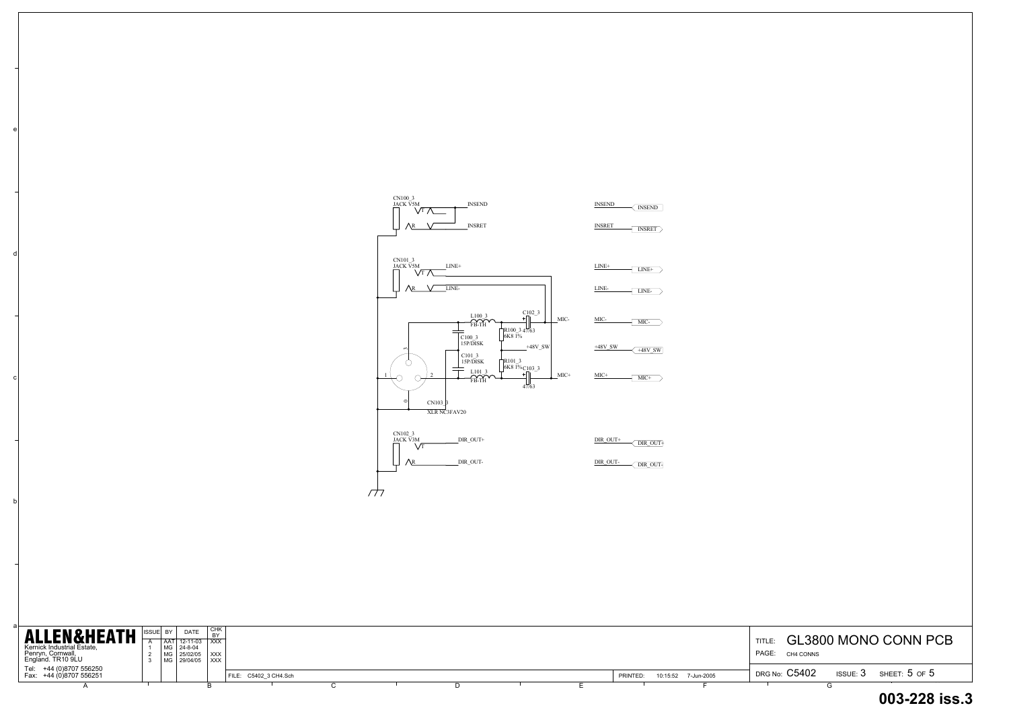a

b

c

d

e

| ALLEN&HEATH<br>Kernick Industrial Estate,<br>Penryn, Cornwall,<br>England. TR10 9LU |  | <b>DATE</b><br>AAT 12-11-03 XXX<br>$M$ G 24-8-04<br>MG 25/02/05<br>  MG   29/04/05   XXX | ' CHK<br>$\overline{)$ XXX |                       |  |  |  |          |                     | TITLE.<br>PAGE:<br>CH4 CONNS |            | GL3800 MONO CONN PO |
|-------------------------------------------------------------------------------------|--|------------------------------------------------------------------------------------------|----------------------------|-----------------------|--|--|--|----------|---------------------|------------------------------|------------|---------------------|
| Tel: +44 (0)8707 556250<br>Fax: +44 (0)8707 556251                                  |  |                                                                                          |                            | FILE: C5402 3 CH4.Sch |  |  |  | PRINTED: | 10:15:52 7-Jun-2005 | DRG No: C5402                | ISSUE: $3$ | SHEET: $5$ of $5$   |
|                                                                                     |  |                                                                                          |                            |                       |  |  |  |          |                     |                              |            |                     |

|                 | G | 003-228 iss.3                                    |
|-----------------|---|--------------------------------------------------|
|                 |   | DRG No: $\rm C5402$ issue: $3$ sheet: $5$ of $5$ |
| PAGE: CH4 CONNS |   | TITLE: <b>GL3800 MONO CONN PCB</b>               |